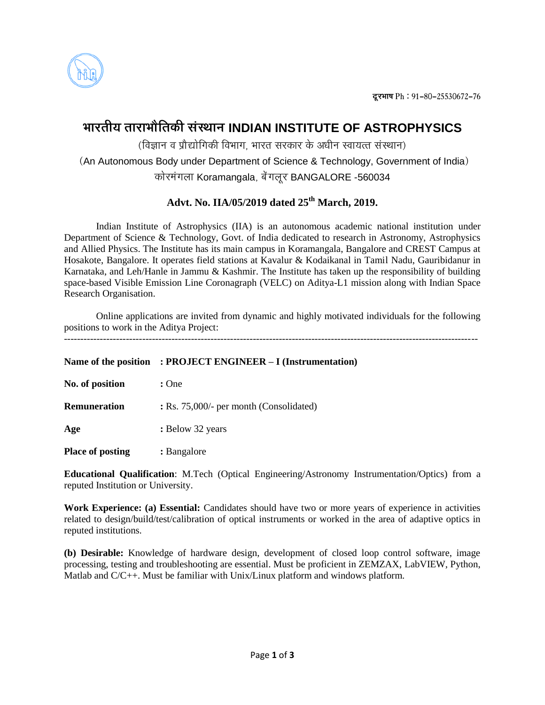

# **ØððÜÃðóÚð ÃððÜðØððøòÃð¨îó çðüçÆððÐð INDIAN INSTITUTE OF ASTROPHYSICS**

(विज्ञान व प्रौद्योगिकी विभाग, भारत सरकार के अधीन स्वायत्त संस्थान)

(An Autonomous Body under Department of Science & Technology, Government of India) कोरमंगला Koramangala, बेंगलूर BANGALORE -560034

## **Advt. No. IIA/05/2019 dated 25th March, 2019.**

Indian Institute of Astrophysics (IIA) is an autonomous academic national institution under Department of Science & Technology, Govt. of India dedicated to research in Astronomy, Astrophysics and Allied Physics. The Institute has its main campus in Koramangala, Bangalore and CREST Campus at Hosakote, Bangalore. It operates field stations at Kavalur & Kodaikanal in Tamil Nadu, Gauribidanur in Karnataka, and Leh/Hanle in Jammu & Kashmir. The Institute has taken up the responsibility of building space-based Visible Emission Line Coronagraph (VELC) on Aditya-L1 mission along with Indian Space Research Organisation.

Online applications are invited from dynamic and highly motivated individuals for the following positions to work in the Aditya Project:

| Name of the position    | : PROJECT ENGINEER - I (Instrumentation) |
|-------------------------|------------------------------------------|
| No. of position         | : One                                    |
| <b>Remuneration</b>     | : Rs. 75,000/- per month (Consolidated)  |
| Age                     | : Below 32 years                         |
| <b>Place of posting</b> | : Bangalore                              |

**Educational Qualification**: M.Tech (Optical Engineering/Astronomy Instrumentation/Optics) from a reputed Institution or University.

**Work Experience: (a) Essential:** Candidates should have two or more years of experience in activities related to design/build/test/calibration of optical instruments or worked in the area of adaptive optics in reputed institutions.

**(b) Desirable:** Knowledge of hardware design, development of closed loop control software, image processing, testing and troubleshooting are essential. Must be proficient in ZEMZAX, LabVIEW, Python, Matlab and C/C++. Must be familiar with Unix/Linux platform and windows platform.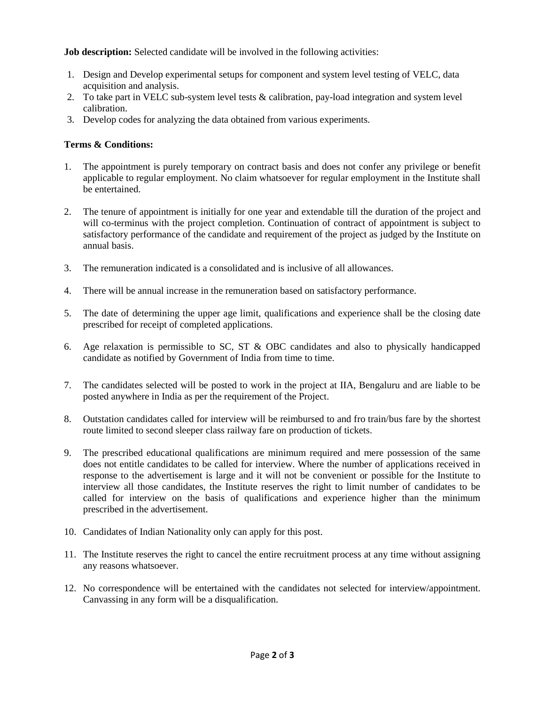**Job description:** Selected candidate will be involved in the following activities:

- 1. Design and Develop experimental setups for component and system level testing of VELC, data acquisition and analysis.
- 2. To take part in VELC sub-system level tests & calibration, pay-load integration and system level calibration.
- 3. Develop codes for analyzing the data obtained from various experiments.

### **Terms & Conditions:**

- 1. The appointment is purely temporary on contract basis and does not confer any privilege or benefit applicable to regular employment. No claim whatsoever for regular employment in the Institute shall be entertained.
- 2. The tenure of appointment is initially for one year and extendable till the duration of the project and will co-terminus with the project completion. Continuation of contract of appointment is subject to satisfactory performance of the candidate and requirement of the project as judged by the Institute on annual basis.
- 3. The remuneration indicated is a consolidated and is inclusive of all allowances.
- 4. There will be annual increase in the remuneration based on satisfactory performance.
- 5. The date of determining the upper age limit, qualifications and experience shall be the closing date prescribed for receipt of completed applications.
- 6. Age relaxation is permissible to SC, ST & OBC candidates and also to physically handicapped candidate as notified by Government of India from time to time.
- 7. The candidates selected will be posted to work in the project at IIA, Bengaluru and are liable to be posted anywhere in India as per the requirement of the Project.
- 8. Outstation candidates called for interview will be reimbursed to and fro train/bus fare by the shortest route limited to second sleeper class railway fare on production of tickets.
- 9. The prescribed educational qualifications are minimum required and mere possession of the same does not entitle candidates to be called for interview. Where the number of applications received in response to the advertisement is large and it will not be convenient or possible for the Institute to interview all those candidates, the Institute reserves the right to limit number of candidates to be called for interview on the basis of qualifications and experience higher than the minimum prescribed in the advertisement.
- 10. Candidates of Indian Nationality only can apply for this post.
- 11. The Institute reserves the right to cancel the entire recruitment process at any time without assigning any reasons whatsoever.
- 12. No correspondence will be entertained with the candidates not selected for interview/appointment. Canvassing in any form will be a disqualification.